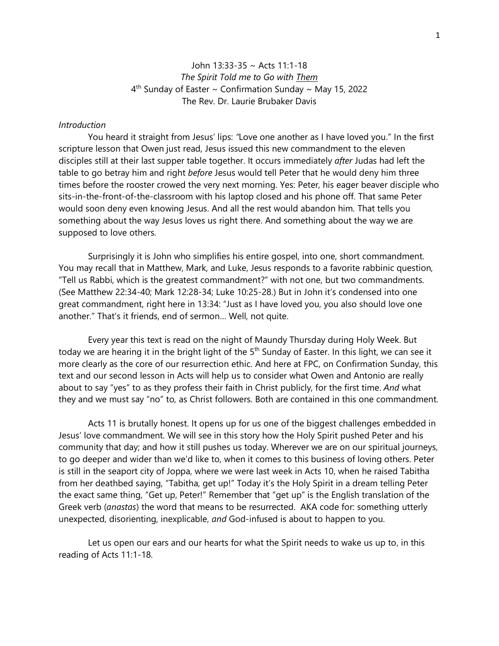## John 13:33-35 ~ Acts 11:1-18 *The Spirit Told me to Go with Them*  $4<sup>th</sup>$  Sunday of Easter ~ Confirmation Sunday ~ May 15, 2022 The Rev. Dr. Laurie Brubaker Davis

## *Introduction*

You heard it straight from Jesus' lips: *"*Love one another as I have loved you." In the first scripture lesson that Owen just read, Jesus issued this new commandment to the eleven disciples still at their last supper table together. It occurs immediately *after* Judas had left the table to go betray him and right *before* Jesus would tell Peter that he would deny him three times before the rooster crowed the very next morning. Yes: Peter, his eager beaver disciple who sits-in-the-front-of-the-classroom with his laptop closed and his phone off. That same Peter would soon deny even knowing Jesus. And all the rest would abandon him. That tells you something about the way Jesus loves us right there. And something about the way we are supposed to love others.

Surprisingly it is John who simplifies his entire gospel, into one, short commandment. You may recall that in Matthew, Mark, and Luke, Jesus responds to a favorite rabbinic question, "Tell us Rabbi, which is the greatest commandment?" with not one, but two commandments. (See Matthew 22:34-40; Mark 12:28-34; Luke 10:25-28.) But in John it's condensed into one great commandment, right here in 13:34: "Just as I have loved you, you also should love one another." That's it friends, end of sermon… Well, not quite.

Every year this text is read on the night of Maundy Thursday during Holy Week. But today we are hearing it in the bright light of the 5<sup>th</sup> Sunday of Easter. In this light, we can see it more clearly as the core of our resurrection ethic. And here at FPC, on Confirmation Sunday, this text and our second lesson in Acts will help us to consider what Owen and Antonio are really about to say "yes" to as they profess their faith in Christ publicly, for the first time. *And* what they and we must say "no" to, as Christ followers. Both are contained in this one commandment.

Acts 11 is brutally honest. It opens up for us one of the biggest challenges embedded in Jesus' love commandment. We will see in this story how the Holy Spirit pushed Peter and his community that day; and how it still pushes us today. Wherever we are on our spiritual journeys, to go deeper and wider than we'd like to, when it comes to this business of loving others. Peter is still in the seaport city of Joppa, where we were last week in Acts 10, when he raised Tabitha from her deathbed saying, "Tabitha, get up!" Today it's the Holy Spirit in a dream telling Peter the exact same thing, "Get up, Peter!" Remember that "get up" is the English translation of the Greek verb (*anastas*) the word that means to be resurrected. AKA code for: something utterly unexpected, disorienting, inexplicable, *and* God-infused is about to happen to you.

Let us open our ears and our hearts for what the Spirit needs to wake us up to, in this reading of Acts 11:1-18.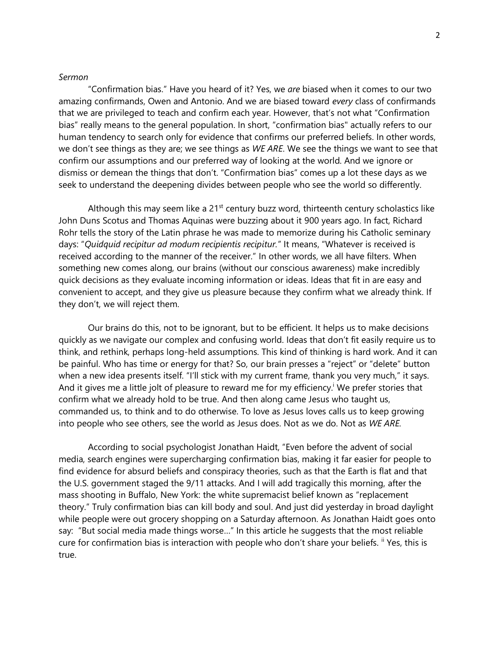## *Sermon*

"Confirmation bias." Have you heard of it? Yes, we *are* biased when it comes to our two amazing confirmands, Owen and Antonio. And we are biased toward *every* class of confirmands that we are privileged to teach and confirm each year. However, that's not what "Confirmation bias" really means to the general population. In short, "confirmation bias" actually refers to our human tendency to search only for evidence that confirms our preferred beliefs. In other words, we don't see things as they are; we see things as *WE ARE*. We see the things we want to see that confirm our assumptions and our preferred way of looking at the world. And we ignore or dismiss or demean the things that don't. "Confirmation bias" comes up a lot these days as we seek to understand the deepening divides between people who see the world so differently.

Although this may seem like a  $21<sup>st</sup>$  century buzz word, thirteenth century scholastics like John Duns Scotus and Thomas Aquinas were buzzing about it 900 years ago. In fact, Richard Rohr tells the story of the Latin phrase he was made to memorize during his Catholic seminary days: "*Quidquid recipitur ad modum recipientis recipitur.*" It means, "Whatever is received is received according to the manner of the receiver." In other words, we all have filters. When something new comes along, our brains (without our conscious awareness) make incredibly quick decisions as they evaluate incoming information or ideas. Ideas that fit in are easy and convenient to accept, and they give us pleasure because they confirm what we already think. If they don't, we will reject them.

Our brains do this, not to be ignorant, but to be efficient. It helps us to make decisions quickly as we navigate our complex and confusing world. Ideas that don't fit easily require us to think, and rethink, perhaps long-held assumptions. This kind of thinking is hard work. And it can be painful. Who has time or energy for that? So, our brain presses a "reject" or "delete" button when a new idea presents itself. "I'll stick with my current frame, thank you very much," it says. And it gives me a little jolt of pleasure to reward me for my efficiency. We prefer stories that confirm what we already hold to be true. And then along came Jesus who taught us, commanded us, to think and to do otherwise. To love as Jesus loves calls us to keep growing into people who see others, see the world as Jesus does. Not as we do. Not as *WE ARE.*

According to social psychologist Jonathan Haidt, "Even before the advent of social media, search engines were supercharging confirmation bias, making it far easier for people to find evidence for absurd beliefs and conspiracy theories, such as that the Earth is flat and that the U.S. government staged the 9/11 attacks. And I will add tragically this morning, after the mass shooting in Buffalo, New York: the white supremacist belief known as "replacement theory." Truly confirmation bias can kill body and soul. And just did yesterday in broad daylight while people were out grocery shopping on a Saturday afternoon. As Jonathan Haidt goes onto say: "But social media made things worse…" In this article he suggests that the most reliable cure for confirmation bias is interaction with people who don't share your beliefs. <sup>ii</sup> Yes, this is true.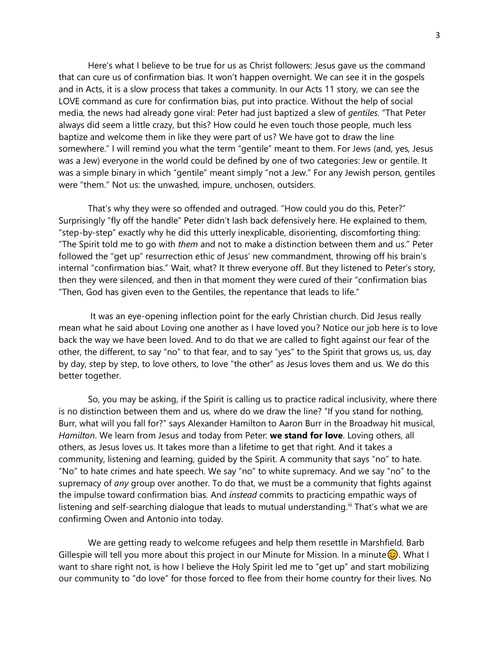Here's what I believe to be true for us as Christ followers: Jesus gave us the command that can cure us of confirmation bias. It won't happen overnight. We can see it in the gospels and in Acts, it is a slow process that takes a community. In our Acts 11 story, we can see the LOVE command as cure for confirmation bias, put into practice. Without the help of social media, the news had already gone viral: Peter had just baptized a slew of *gentiles*. "That Peter always did seem a little crazy, but this? How could he even touch those people, much less baptize and welcome them in like they were part of us? We have got to draw the line somewhere." I will remind you what the term "gentile" meant to them. For Jews (and, yes, Jesus was a Jew) everyone in the world could be defined by one of two categories: Jew or gentile. It was a simple binary in which "gentile" meant simply "not a Jew." For any Jewish person, gentiles were "them." Not us: the unwashed, impure, unchosen, outsiders.

That's why they were so offended and outraged. "How could you do this, Peter?" Surprisingly "fly off the handle" Peter didn't lash back defensively here. He explained to them, "step-by-step" exactly why he did this utterly inexplicable, disorienting, discomforting thing: "The Spirit told me to go with *them* and not to make a distinction between them and us." Peter followed the "get up" resurrection ethic of Jesus' new commandment, throwing off his brain's internal "confirmation bias." Wait, what? It threw everyone off. But they listened to Peter's story, then they were silenced, and then in that moment they were cured of their "confirmation bias "Then, God has given even to the Gentiles, the repentance that leads to life."

It was an eye-opening inflection point for the early Christian church. Did Jesus really mean what he said about Loving one another as I have loved you? Notice our job here is to love back the way we have been loved. And to do that we are called to fight against our fear of the other, the different, to say "no" to that fear, and to say "yes" to the Spirit that grows us, us, day by day, step by step, to love others, to love "the other" as Jesus loves them and us. We do this better together.

So, you may be asking, if the Spirit is calling us to practice radical inclusivity, where there is no distinction between them and us, where do we draw the line? "If you stand for nothing, Burr, what will you fall for?" says Alexander Hamilton to Aaron Burr in the Broadway hit musical, *Hamilton*. We learn from Jesus and today from Peter: **we stand for love**. Loving others, all others, as Jesus loves us. It takes more than a lifetime to get that right. And it takes a community, listening and learning, guided by the Spirit. A community that says "no" to hate. "No" to hate crimes and hate speech. We say "no" to white supremacy. And we say "no" to the supremacy of *any* group over another. To do that, we must be a community that fights against the impulse toward confirmation bias. And *instead* commits to practicing empathic ways of listening and self-searching dialogue that leads to mutual understanding.<sup>iii</sup> That's what we are confirming Owen and Antonio into today.

We are getting ready to welcome refugees and help them resettle in Marshfield. Barb Gillespie will tell you more about this project in our Minute for Mission. In a minute  $\odot$ . What I want to share right not, is how I believe the Holy Spirit led me to "get up" and start mobilizing our community to "do love" for those forced to flee from their home country for their lives. No